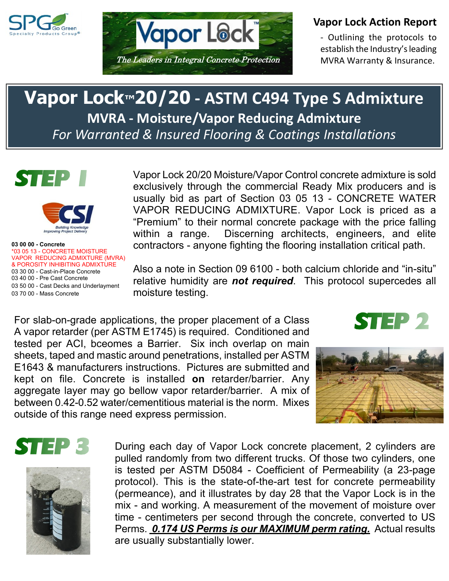



## **Vapor Lock Action Report**

- Outlining the protocols to establish the Industry's leading MVRA Warranty & Insurance.

## **Vapor Lock™20/20 - ASTM C494 Type S Admixture MVRA - Moisture/Vapor Reducing Admixture** *For Warranted & Insured Flooring & Coatings Installations*



**STEP** 

**03 00 00 - Concrete** \*03 05 13 - CONCRETE MOISTURE VAPOR REDUCING ADMIXTURE (MVRA) & POROSITY INHIBITING ADMIXTURE 03 30 00 - Cast-in-Place Concrete 03 40 00 - Pre Cast Concrete 03 50 00 - Cast Decks and Underlayment 03 70 00 - Mass Concrete

Vapor Lock 20/20 Moisture/Vapor Control concrete admixture is sold exclusively through the commercial Ready Mix producers and is usually bid as part of Section 03 05 13 - CONCRETE WATER VAPOR REDUCING ADMIXTURE. Vapor Lock is priced as a "Premium" to their normal concrete package with the price falling within a range. Discerning architects, engineers, and elite contractors - anyone fighting the flooring installation critical path.

Also a note in Section 09 6100 - both calcium chloride and "in-situ" relative humidity are *not required*. This protocol supercedes all moisture testing.

For slab-on-grade applications, the proper placement of a Class A vapor retarder (per ASTM E1745) is required. Conditioned and tested per ACI, bceomes a Barrier. Six inch overlap on main sheets, taped and mastic around penetrations, installed per ASTM E1643 & manufacturers instructions. Pictures are submitted and kept on file. Concrete is installed **on** retarder/barrier. Any aggregate layer may go bellow vapor retarder/barrier. A mix of between 0.42-0.52 water/cementitious material is the norm. Mixes outside of this range need express permission.









During each day of Vapor Lock concrete placement, 2 cylinders are pulled randomly from two different trucks. Of those two cylinders, one is tested per ASTM D5084 - Coefficient of Permeability (a 23-page protocol). This is the state-of-the-art test for concrete permeability (permeance), and it illustrates by day 28 that the Vapor Lock is in the mix - and working. A measurement of the movement of moisture over time - centimeters per second through the concrete, converted to US Perms. *0.174 US Perms is our MAXIMUM perm rating.* Actual results are usually substantially lower.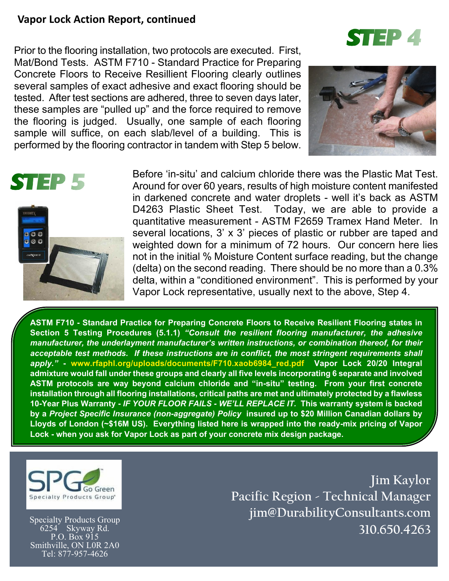## **Vapor Lock Action Report, continued**

Prior to the flooring installation, two protocols are executed. First, Mat/Bond Tests. ASTM F710 - Standard Practice for Preparing Concrete Floors to Receive Resillient Flooring clearly outlines several samples of exact adhesive and exact flooring should be tested. After test sections are adhered, three to seven days later, these samples are "pulled up" and the force required to remove the flooring is judged. Usually, one sample of each flooring sample will suffice, on each slab/level of a building. This is performed by the flooring contractor in tandem with Step 5 below.



**STEP 4** 



Before 'in-situ' and calcium chloride there was the Plastic Mat Test. Around for over 60 years, results of high moisture content manifested in darkened concrete and water droplets - well it's back as ASTM D4263 Plastic Sheet Test. Today, we are able to provide a quantitative measurement - ASTM F2659 Tramex Hand Meter. In several locations, 3' x 3' pieces of plastic or rubber are taped and weighted down for a minimum of 72 hours. Our concern here lies not in the initial % Moisture Content surface reading, but the change (delta) on the second reading. There should be no more than a 0.3% delta, within a "conditioned environment". This is performed by your Vapor Lock representative, usually next to the above, Step 4.

**ASTM F710 - Standard Practice for Preparing Concrete Floors to Receive Resilient Flooring states in Section 5 Testing Procedures (5.1.1)** *"Consult the resilient flooring manufacturer, the adhesive manufacturer, the underlayment manufacturer's written instructions, or combination thereof, for their acceptable test methods. If these instructions are in conflict, the most stringent requirements shall apply."* **- www.rfaphl.org/uploads/documents/F710.xaob6984\_red.pdf Vapor Lock 20/20 Integral admixture would fall under these groups and clearly all five levels incorporating 6 separate and involved ASTM protocols are way beyond calcium chloride and "in-situ" testing. From your first concrete installation through all flooring installations, critical paths are met and ultimately protected by a flawless 10-Year Plus Warranty -** *IF YOUR FLOOR FAILS - WE'LL REPLACE IT.* **This warranty system is backed by a** *Project Specific Insurance (non-aggregate) Policy* **insured up to \$20 Million Canadian dollars by Lloyds of London (~\$16M US). Everything listed here is wrapped into the ready-mix pricing of Vapor Lock - when you ask for Vapor Lock as part of your concrete mix design package.**



Specialty Products Group 6254 Skyway Rd. P.O. Box 915 Smithville, ON L0R 2A0 Tel: 877-957-4626

**Jim Kaylor Pacific Region - Technical Manager jim@DurabilityConsultants.com 310.650.4263**